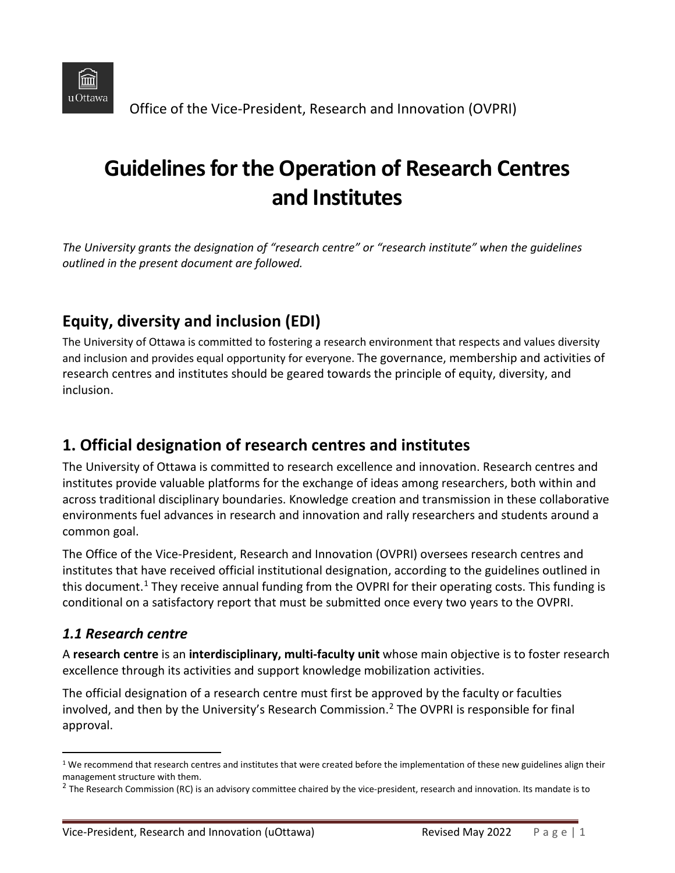

Office of the Vice-President, Research and Innovation (OVPRI)

# **Guidelines for the Operation of Research Centres and Institutes**

*The University grants the designation of "research centre" or "research institute" when the guidelines outlined in the present document are followed.*

# **Equity, diversity and inclusion (EDI)**

The University of Ottawa is committed to fostering a research environment that respects and values diversity and inclusion and provides equal opportunity for everyone. The governance, membership and activities of research centres and institutes should be geared towards the principle of equity, diversity, and inclusion.

# **1. Official designation of research centres and institutes**

The University of Ottawa is committed to research excellence and innovation. Research centres and institutes provide valuable platforms for the exchange of ideas among researchers, both within and across traditional disciplinary boundaries. Knowledge creation and transmission in these collaborative environments fuel advances in research and innovation and rally researchers and students around a common goal.

The Office of the Vice-President, Research and Innovation (OVPRI) oversees research centres and institutes that have received official institutional designation, according to the guidelines outlined in this document.<sup>[1](#page-0-0)</sup> They receive annual funding from the OVPRI for their operating costs. This funding is conditional on a satisfactory report that must be submitted once every two years to the OVPRI.

#### *1.1 Research centre*

A **research centre** is an **interdisciplinary, multi-faculty unit** whose main objective is to foster research excellence through its activities and support knowledge mobilization activities.

The official designation of a research centre must first be approved by the faculty or faculties involved, and then by the University's Research Commission. [2](#page-0-1) The OVPRI is responsible for final approval.

<span id="page-0-0"></span> $1$  We recommend that research centres and institutes that were created before the implementation of these new guidelines align their

<span id="page-0-1"></span>management structure with them.<br><sup>2</sup> The Research Commission (RC) is an advisory committee chaired by the vice-president, research and innovation. Its mandate is to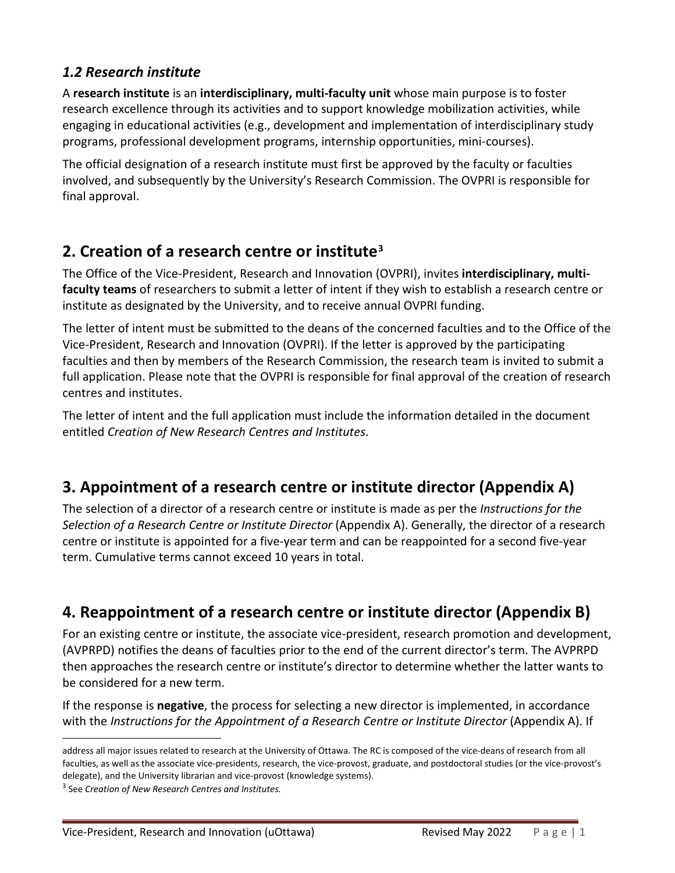#### *1.2 Research institute*

A **research institute** is an **interdisciplinary, multi-faculty unit** whose main purpose is to foster research excellence through its activities and to support knowledge mobilization activities, while engaging in educational activities (e.g., development and implementation of interdisciplinary study programs, professional development programs, internship opportunities, mini-courses).

The official designation of a research institute must first be approved by the faculty or faculties involved, and subsequently by the University's Research Commission. The OVPRI is responsible for final approval.

### **2. Creation of a research centre or institute[3](#page-1-0)**

The Office of the Vice-President, Research and Innovation (OVPRI), invites **interdisciplinary, multifaculty teams** of researchers to submit a letter of intent if they wish to establish a research centre or institute as designated by the University, and to receive annual OVPRI funding.

The letter of intent must be submitted to the deans of the concerned faculties and to the Office of the Vice-President, Research and Innovation (OVPRI). If the letter is approved by the participating faculties and then by members of the Research Commission, the research team is invited to submit a full application. Please note that the OVPRI is responsible for final approval of the creation of research centres and institutes.

The letter of intent and the full application must include the information detailed in the document entitled *Creation of New Research Centres and Institutes*.

### **3. Appointment of a research centre or institute director (Appendix A)**

The selection of a director of a research centre or institute is made as per the *Instructions for the Selection of a Research Centre or Institute Director* (Appendix A). Generally, the director of a research centre or institute is appointed for a five-year term and can be reappointed for a second five-year term. Cumulative terms cannot exceed 10 years in total.

# **4. Reappointment of a research centre or institute director (Appendix B)**

For an existing centre or institute, the associate vice-president, research promotion and development, (AVPRPD) notifies the deans of faculties prior to the end of the current director's term. The AVPRPD then approaches the research centre or institute's director to determine whether the latter wants to be considered for a new term.

If the response is **negative**, the process for selecting a new director is implemented, in accordance with the *Instructions for the Appointment of a Research Centre or Institute Director* (Appendix A). If

address all major issues related to research at the University of Ottawa. The RC is composed of the vice-deans of research from all faculties, as well as the associate vice-presidents, research, the vice-provost, graduate, and postdoctoral studies (or the vice-provost's delegate), and the University librarian and vice-provost (knowledge systems). 3 See *Creation of New Research Centres and Institutes.*

<span id="page-1-0"></span>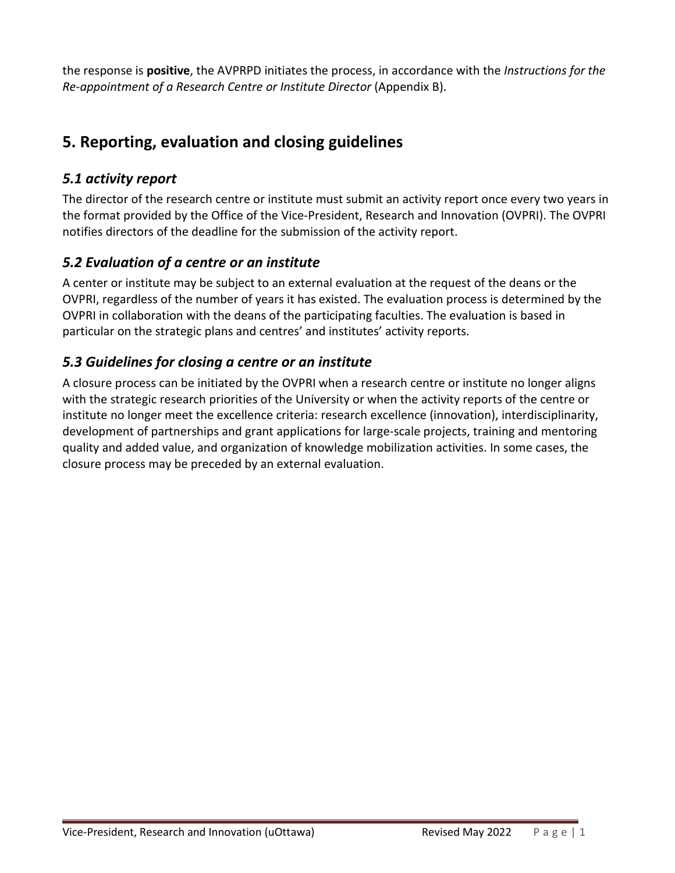the response is **positive**, the AVPRPD initiates the process, in accordance with the *Instructions for the Re-appointment of a Research Centre or Institute Director* (Appendix B).

### **5. Reporting, evaluation and closing guidelines**

### *5.1 activity report*

The director of the research centre or institute must submit an activity report once every two years in the format provided by the Office of the Vice-President, Research and Innovation (OVPRI). The OVPRI notifies directors of the deadline for the submission of the activity report.

### *5.2 Evaluation of a centre or an institute*

A center or institute may be subject to an external evaluation at the request of the deans or the OVPRI, regardless of the number of years it has existed. The evaluation process is determined by the OVPRI in collaboration with the deans of the participating faculties. The evaluation is based in particular on the strategic plans and centres' and institutes' activity reports.

### *5.3 Guidelines for closing a centre or an institute*

A closure process can be initiated by the OVPRI when a research centre or institute no longer aligns with the strategic research priorities of the University or when the activity reports of the centre or institute no longer meet the excellence criteria: research excellence (innovation), interdisciplinarity, development of partnerships and grant applications for large-scale projects, training and mentoring quality and added value, and organization of knowledge mobilization activities. In some cases, the closure process may be preceded by an external evaluation.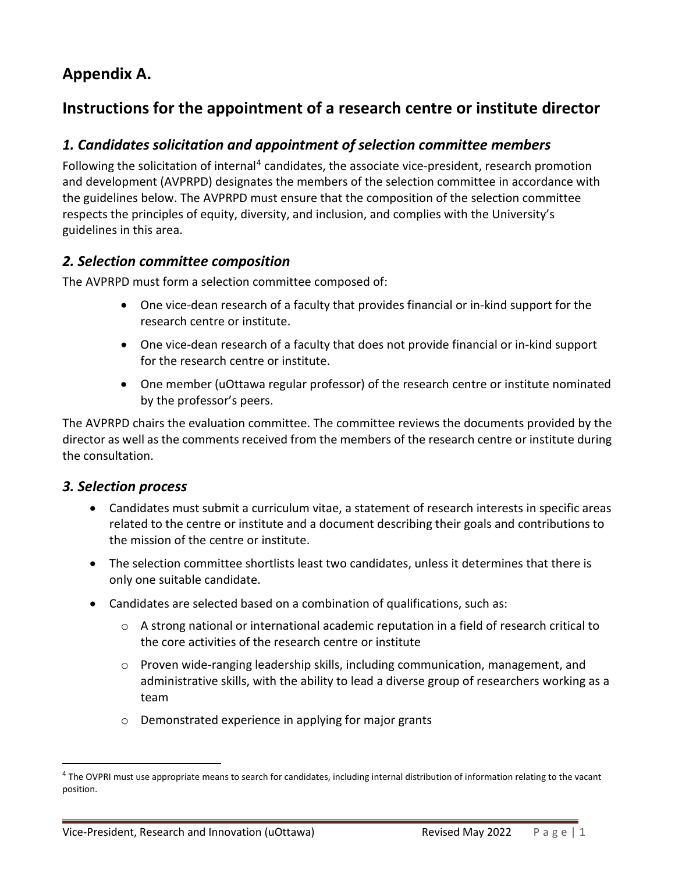# **Appendix A.**

# **Instructions for the appointment of a research centre or institute director**

### *1. Candidates solicitation and appointment of selection committee members*

Following the solicitation of internal<sup>[4](#page-3-0)</sup> candidates, the associate vice-president, research promotion and development (AVPRPD) designates the members of the selection committee in accordance with the guidelines below. The AVPRPD must ensure that the composition of the selection committee respects the principles of equity, diversity, and inclusion, and complies with the University's guidelines in this area.

#### *2. Selection committee composition*

The AVPRPD must form a selection committee composed of:

- One vice-dean research of a faculty that provides financial or in-kind support for the research centre or institute.
- One vice-dean research of a faculty that does not provide financial or in-kind support for the research centre or institute.
- One member (uOttawa regular professor) of the research centre or institute nominated by the professor's peers.

The AVPRPD chairs the evaluation committee. The committee reviews the documents provided by the director as well as the comments received from the members of the research centre or institute during the consultation.

#### *3. Selection process*

- Candidates must submit a curriculum vitae, a statement of research interests in specific areas related to the centre or institute and a document describing their goals and contributions to the mission of the centre or institute.
- The selection committee shortlists least two candidates, unless it determines that there is only one suitable candidate.
- Candidates are selected based on a combination of qualifications, such as:
	- $\circ$  A strong national or international academic reputation in a field of research critical to the core activities of the research centre or institute
	- $\circ$  Proven wide-ranging leadership skills, including communication, management, and administrative skills, with the ability to lead a diverse group of researchers working as a team
	- o Demonstrated experience in applying for major grants

<span id="page-3-0"></span><sup>&</sup>lt;sup>4</sup> The OVPRI must use appropriate means to search for candidates, including internal distribution of information relating to the vacant position.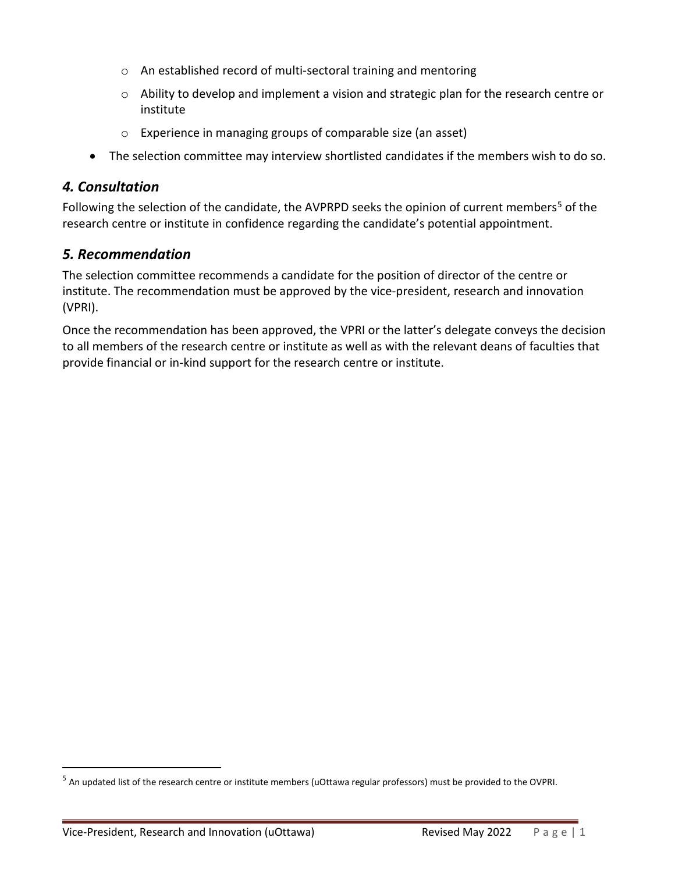- o An established record of multi-sectoral training and mentoring
- o Ability to develop and implement a vision and strategic plan for the research centre or institute
- o Experience in managing groups of comparable size (an asset)
- The selection committee may interview shortlisted candidates if the members wish to do so.

#### *4. Consultation*

Following the selection of the candidate, the AVPRPD seeks the opinion of current members<sup>[5](#page-4-0)</sup> of the research centre or institute in confidence regarding the candidate's potential appointment.

#### *5. Recommendation*

The selection committee recommends a candidate for the position of director of the centre or institute. The recommendation must be approved by the vice-president, research and innovation (VPRI).

Once the recommendation has been approved, the VPRI or the latter's delegate conveys the decision to all members of the research centre or institute as well as with the relevant deans of faculties that provide financial or in-kind support for the research centre or institute.

<span id="page-4-0"></span><sup>5</sup> An updated list of the research centre or institute members (uOttawa regular professors) must be provided to the OVPRI.